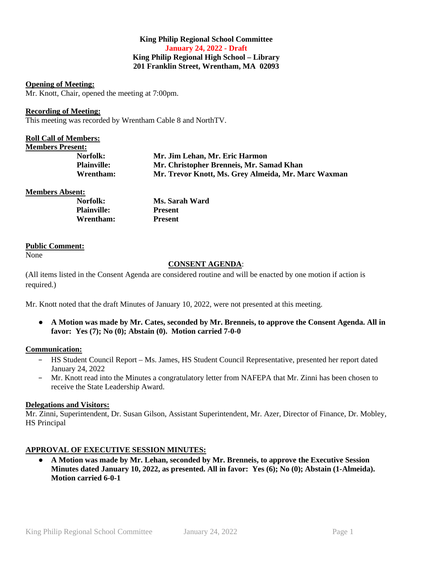### **King Philip Regional School Committee January 24, 2022 - Draft King Philip Regional High School – Library 201 Franklin Street, Wrentham, MA 02093**

#### **Opening of Meeting:**

Mr. Knott, Chair, opened the meeting at 7:00pm.

#### **Recording of Meeting:**

This meeting was recorded by Wrentham Cable 8 and NorthTV.

| <b>Roll Call of Members:</b> |                                                     |
|------------------------------|-----------------------------------------------------|
| <b>Members Present:</b>      |                                                     |
| Norfolk:                     | Mr. Jim Lehan, Mr. Eric Harmon                      |
| <b>Plainville:</b>           | Mr. Christopher Brenneis, Mr. Samad Khan            |
| Wrentham:                    | Mr. Trevor Knott, Ms. Grey Almeida, Mr. Marc Waxman |
|                              |                                                     |

**Members Absent:**

| Norfolk:           | Ms. Sarah Ward |
|--------------------|----------------|
| <b>Plainville:</b> | <b>Present</b> |
| Wrentham:          | <b>Present</b> |

#### **Public Comment:**

None

### **CONSENT AGENDA**:

(All items listed in the Consent Agenda are considered routine and will be enacted by one motion if action is required.)

Mr. Knott noted that the draft Minutes of January 10, 2022, were not presented at this meeting.

● **A Motion was made by Mr. Cates, seconded by Mr. Brenneis, to approve the Consent Agenda. All in favor: Yes (7); No (0); Abstain (0). Motion carried 7-0-0**

### **Communication:**

- − HS Student Council Report Ms. James, HS Student Council Representative, presented her report dated January 24, 2022
- − Mr. Knott read into the Minutes a congratulatory letter from NAFEPA that Mr. Zinni has been chosen to receive the State Leadership Award.

### **Delegations and Visitors:**

Mr. Zinni, Superintendent, Dr. Susan Gilson, Assistant Superintendent, Mr. Azer, Director of Finance, Dr. Mobley, HS Principal

### **APPROVAL OF EXECUTIVE SESSION MINUTES:**

● **A Motion was made by Mr. Lehan, seconded by Mr. Brenneis, to approve the Executive Session Minutes dated January 10, 2022, as presented. All in favor: Yes (6); No (0); Abstain (1-Almeida). Motion carried 6-0-1**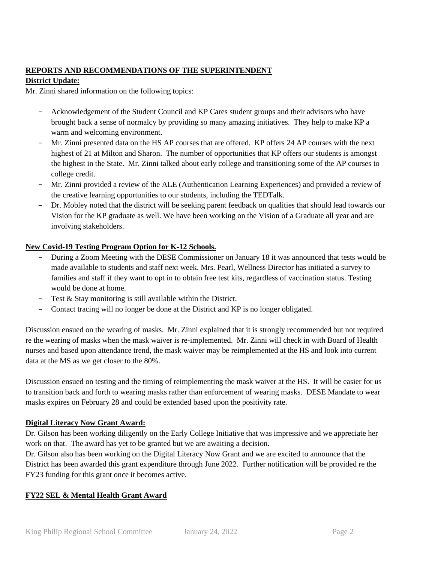# **REPORTS AND RECOMMENDATIONS OF THE SUPERINTENDENT**

## **District Update:**

Mr. Zinni shared information on the following topics:

- − Acknowledgement of the Student Council and KP Cares student groups and their advisors who have brought back a sense of normalcy by providing so many amazing initiatives. They help to make KP a warm and welcoming environment.
- − Mr. Zinni presented data on the HS AP courses that are offered. KP offers 24 AP courses with the next highest of 21 at Milton and Sharon. The number of opportunities that KP offers our students is amongst the highest in the State. Mr. Zinni talked about early college and transitioning some of the AP courses to college credit.
- − Mr. Zinni provided a review of the ALE (Authentication Learning Experiences) and provided a review of the creative learning opportunities to our students, including the TEDTalk.
- − Dr. Mobley noted that the district will be seeking parent feedback on qualities that should lead towards our Vision for the KP graduate as well. We have been working on the Vision of a Graduate all year and are involving stakeholders.

# **New Covid-19 Testing Program Option for K-12 Schools.**

- During a Zoom Meeting with the DESE Commissioner on January 18 it was announced that tests would be made available to students and staff next week. Mrs. Pearl, Wellness Director has initiated a survey to families and staff if they want to opt in to obtain free test kits, regardless of vaccination status. Testing would be done at home.
- − Test & Stay monitoring is still available within the District.
- − Contact tracing will no longer be done at the District and KP is no longer obligated.

Discussion ensued on the wearing of masks. Mr. Zinni explained that it is strongly recommended but not required re the wearing of masks when the mask waiver is re-implemented. Mr. Zinni will check in with Board of Health nurses and based upon attendance trend, the mask waiver may be reimplemented at the HS and look into current data at the MS as we get closer to the 80%.

Discussion ensued on testing and the timing of reimplementing the mask waiver at the HS. It will be easier for us to transition back and forth to wearing masks rather than enforcement of wearing masks. DESE Mandate to wear masks expires on February 28 and could be extended based upon the positivity rate.

## **Digital Literacy Now Grant Award:**

Dr. Gilson has been working diligently on the Early College Initiative that was impressive and we appreciate her work on that. The award has yet to be granted but we are awaiting a decision.

Dr. Gilson also has been working on the Digital Literacy Now Grant and we are excited to announce that the District has been awarded this grant expenditure through June 2022. Further notification will be provided re the FY23 funding for this grant once it becomes active.

## **FY22 SEL & Mental Health Grant Award**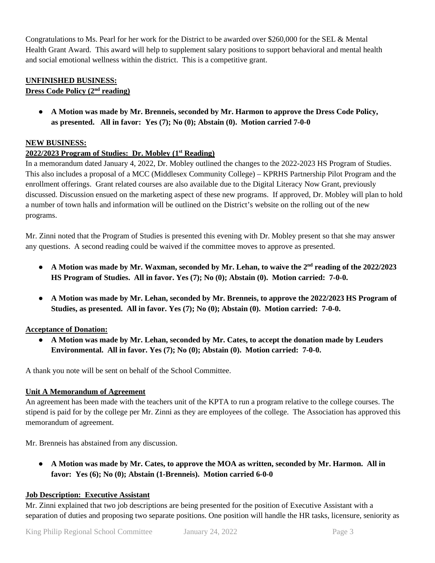Congratulations to Ms. Pearl for her work for the District to be awarded over \$260,000 for the SEL & Mental Health Grant Award. This award will help to supplement salary positions to support behavioral and mental health and social emotional wellness within the district. This is a competitive grant.

## **UNFINISHED BUSINESS:**

# **Dress Code Policy (2nd reading)**

● **A Motion was made by Mr. Brenneis, seconded by Mr. Harmon to approve the Dress Code Policy, as presented. All in favor: Yes (7); No (0); Abstain (0). Motion carried 7-0-0**

## **NEW BUSINESS:**

## **2022/2023 Program of Studies: Dr. Mobley (1st Reading)**

In a memorandum dated January 4, 2022, Dr. Mobley outlined the changes to the 2022-2023 HS Program of Studies. This also includes a proposal of a MCC (Middlesex Community College) – KPRHS Partnership Pilot Program and the enrollment offerings. Grant related courses are also available due to the Digital Literacy Now Grant, previously discussed. Discussion ensued on the marketing aspect of these new programs. If approved, Dr. Mobley will plan to hold a number of town halls and information will be outlined on the District's website on the rolling out of the new programs.

Mr. Zinni noted that the Program of Studies is presented this evening with Dr. Mobley present so that she may answer any questions. A second reading could be waived if the committee moves to approve as presented.

- A Motion was made by Mr. Waxman, seconded by Mr. Lehan, to waive the 2<sup>nd</sup> reading of the 2022/2023 **HS Program of Studies. All in favor. Yes (7); No (0); Abstain (0). Motion carried: 7-0-0.**
- **A Motion was made by Mr. Lehan, seconded by Mr. Brenneis, to approve the 2022/2023 HS Program of Studies, as presented. All in favor. Yes (7); No (0); Abstain (0). Motion carried: 7-0-0.**

## **Acceptance of Donation:**

● **A Motion was made by Mr. Lehan, seconded by Mr. Cates, to accept the donation made by Leuders Environmental. All in favor. Yes (7); No (0); Abstain (0). Motion carried: 7-0-0.**

A thank you note will be sent on behalf of the School Committee.

## **Unit A Memorandum of Agreement**

An agreement has been made with the teachers unit of the KPTA to run a program relative to the college courses. The stipend is paid for by the college per Mr. Zinni as they are employees of the college. The Association has approved this memorandum of agreement.

Mr. Brenneis has abstained from any discussion.

● **A Motion was made by Mr. Cates, to approve the MOA as written, seconded by Mr. Harmon. All in favor: Yes (6); No (0); Abstain (1-Brenneis). Motion carried 6-0-0**

## **Job Description: Executive Assistant**

Mr. Zinni explained that two job descriptions are being presented for the position of Executive Assistant with a separation of duties and proposing two separate positions. One position will handle the HR tasks, licensure, seniority as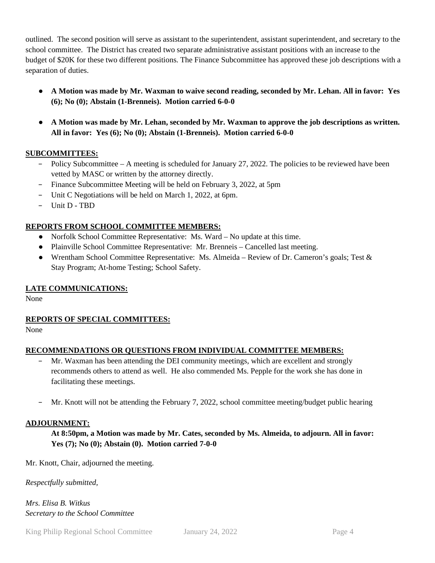outlined. The second position will serve as assistant to the superintendent, assistant superintendent, and secretary to the school committee. The District has created two separate administrative assistant positions with an increase to the budget of \$20K for these two different positions. The Finance Subcommittee has approved these job descriptions with a separation of duties.

- **A Motion was made by Mr. Waxman to waive second reading, seconded by Mr. Lehan. All in favor: Yes (6); No (0); Abstain (1-Brenneis). Motion carried 6-0-0**
- **A Motion was made by Mr. Lehan, seconded by Mr. Waxman to approve the job descriptions as written. All in favor: Yes (6); No (0); Abstain (1-Brenneis). Motion carried 6-0-0**

## **SUBCOMMITTEES:**

- − Policy Subcommittee A meeting is scheduled for January 27, 2022. The policies to be reviewed have been vetted by MASC or written by the attorney directly.
- − Finance Subcommittee Meeting will be held on February 3, 2022, at 5pm
- − Unit C Negotiations will be held on March 1, 2022, at 6pm.
- − Unit D TBD

## **REPORTS FROM SCHOOL COMMITTEE MEMBERS:**

- Norfolk School Committee Representative: Ms. Ward No update at this time.
- Plainville School Committee Representative: Mr. Brenneis Cancelled last meeting.
- Wrentham School Committee Representative: Ms. Almeida Review of Dr. Cameron's goals; Test & Stay Program; At-home Testing; School Safety.

### **LATE COMMUNICATIONS:**

None

## **REPORTS OF SPECIAL COMMITTEES:**

None

## **RECOMMENDATIONS OR QUESTIONS FROM INDIVIDUAL COMMITTEE MEMBERS:**

- − Mr. Waxman has been attending the DEI community meetings, which are excellent and strongly recommends others to attend as well. He also commended Ms. Pepple for the work she has done in facilitating these meetings.
- − Mr. Knott will not be attending the February 7, 2022, school committee meeting/budget public hearing

### **ADJOURNMENT:**

**At 8:50pm, a Motion was made by Mr. Cates, seconded by Ms. Almeida, to adjourn. All in favor: Yes (7); No (0); Abstain (0). Motion carried 7-0-0**

Mr. Knott, Chair, adjourned the meeting.

*Respectfully submitted,*

*Mrs. Elisa B. Witkus Secretary to the School Committee*

King Philip Regional School Committee January 24, 2022 Page 4